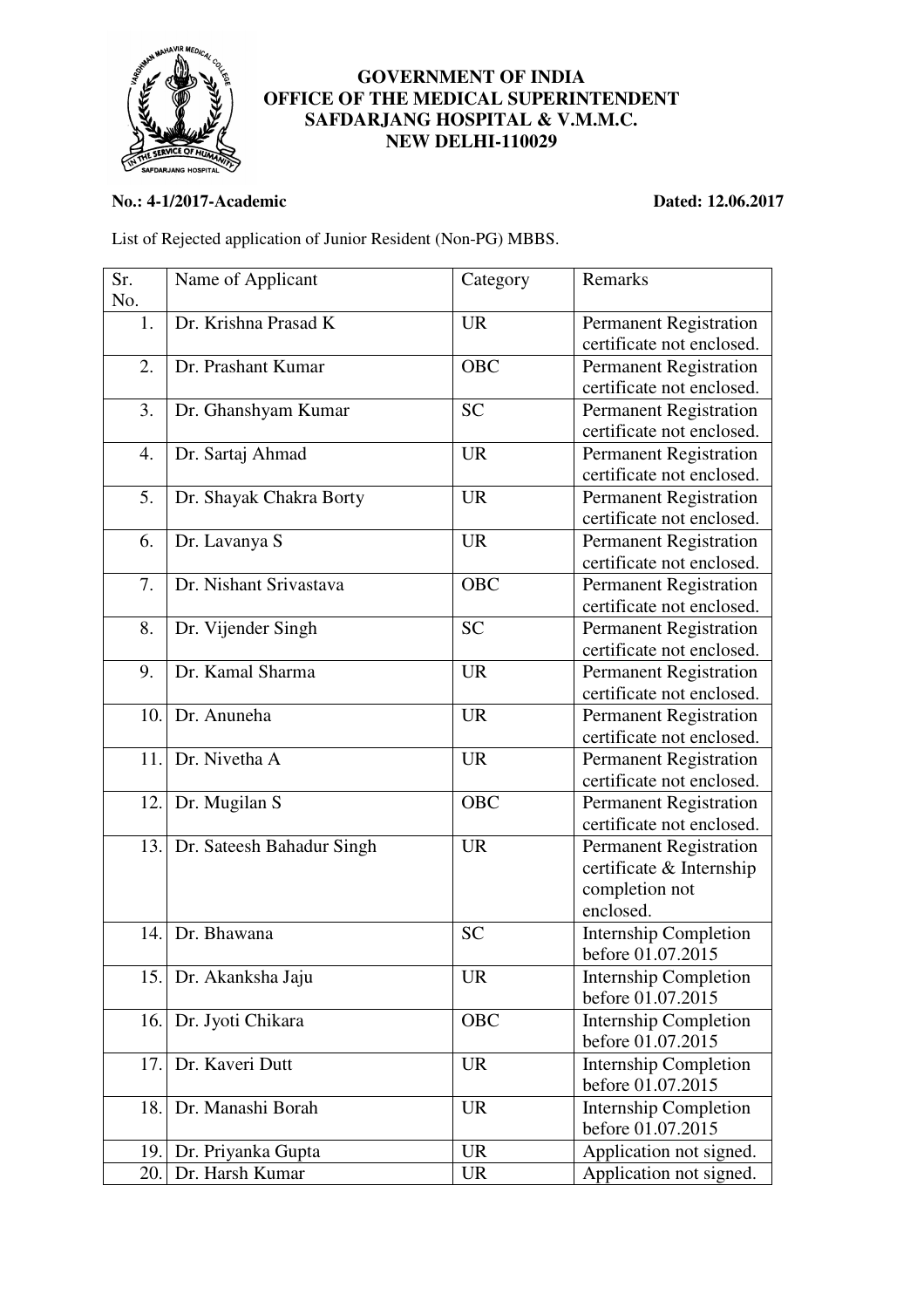

## **GOVERNMENT OF INDIA OFFICE OF THE MEDICAL SUPERINTENDENT SAFDARJANG HOSPITAL & V.M.M.C. NEW DELHI-110029**

## **No.: 4-1/2017-Academic Dated: 12.06.2017**

List of Rejected application of Junior Resident (Non-PG) MBBS.

| Sr.               | Name of Applicant                                          | Category                            | Remarks                                                                                                                                                      |
|-------------------|------------------------------------------------------------|-------------------------------------|--------------------------------------------------------------------------------------------------------------------------------------------------------------|
| No.               |                                                            |                                     |                                                                                                                                                              |
| 1.                | Dr. Krishna Prasad K                                       | <b>UR</b>                           | <b>Permanent Registration</b>                                                                                                                                |
|                   |                                                            |                                     | certificate not enclosed.                                                                                                                                    |
| 2.                | Dr. Prashant Kumar                                         | <b>OBC</b>                          | Permanent Registration                                                                                                                                       |
|                   |                                                            |                                     | certificate not enclosed.                                                                                                                                    |
| 3.                | Dr. Ghanshyam Kumar                                        | <b>SC</b>                           | <b>Permanent Registration</b>                                                                                                                                |
|                   |                                                            |                                     | certificate not enclosed.                                                                                                                                    |
| 4.                | Dr. Sartaj Ahmad                                           | <b>UR</b>                           | <b>Permanent Registration</b>                                                                                                                                |
|                   |                                                            |                                     | certificate not enclosed.                                                                                                                                    |
| 5.                | Dr. Shayak Chakra Borty                                    | <b>UR</b>                           | <b>Permanent Registration</b>                                                                                                                                |
|                   |                                                            |                                     | certificate not enclosed.                                                                                                                                    |
| 6.                | Dr. Lavanya S                                              | <b>UR</b>                           | <b>Permanent Registration</b>                                                                                                                                |
|                   |                                                            |                                     | certificate not enclosed.                                                                                                                                    |
| 7.                | Dr. Nishant Srivastava                                     | <b>OBC</b>                          | <b>Permanent Registration</b>                                                                                                                                |
|                   |                                                            |                                     | certificate not enclosed.                                                                                                                                    |
| 8.                | Dr. Vijender Singh                                         | <b>SC</b>                           | <b>Permanent Registration</b>                                                                                                                                |
|                   |                                                            |                                     | certificate not enclosed.                                                                                                                                    |
| 9.                | Dr. Kamal Sharma                                           | <b>UR</b>                           |                                                                                                                                                              |
|                   |                                                            |                                     | <b>Permanent Registration</b>                                                                                                                                |
|                   |                                                            |                                     | certificate not enclosed.                                                                                                                                    |
| 10.               | Dr. Anuneha                                                | <b>UR</b>                           | <b>Permanent Registration</b>                                                                                                                                |
|                   |                                                            |                                     | certificate not enclosed.                                                                                                                                    |
| 11.               | Dr. Nivetha A                                              | <b>UR</b>                           | <b>Permanent Registration</b>                                                                                                                                |
|                   |                                                            |                                     | certificate not enclosed.                                                                                                                                    |
| 12.               | Dr. Mugilan S                                              | <b>OBC</b>                          | <b>Permanent Registration</b>                                                                                                                                |
|                   |                                                            |                                     | certificate not enclosed.                                                                                                                                    |
|                   | 13. Dr. Sateesh Bahadur Singh                              | <b>UR</b>                           | <b>Permanent Registration</b>                                                                                                                                |
|                   |                                                            |                                     | certificate & Internship                                                                                                                                     |
|                   |                                                            |                                     | completion not                                                                                                                                               |
|                   |                                                            |                                     | enclosed.                                                                                                                                                    |
| 14.               | Dr. Bhawana                                                | <b>SC</b>                           | <b>Internship Completion</b>                                                                                                                                 |
|                   |                                                            |                                     | before 01.07.2015                                                                                                                                            |
|                   | 15. Dr. Akanksha Jaju                                      | <b>UR</b>                           | <b>Internship Completion</b>                                                                                                                                 |
|                   |                                                            |                                     | before 01.07.2015                                                                                                                                            |
| 16.               | Dr. Jyoti Chikara                                          | OBC                                 | <b>Internship Completion</b>                                                                                                                                 |
|                   |                                                            |                                     | before 01.07.2015                                                                                                                                            |
| 17.               | Dr. Kaveri Dutt                                            | <b>UR</b>                           |                                                                                                                                                              |
|                   |                                                            |                                     |                                                                                                                                                              |
|                   |                                                            |                                     |                                                                                                                                                              |
|                   |                                                            |                                     |                                                                                                                                                              |
|                   |                                                            |                                     |                                                                                                                                                              |
|                   |                                                            |                                     |                                                                                                                                                              |
| 18.<br>19.<br>20. | Dr. Manashi Borah<br>Dr. Priyanka Gupta<br>Dr. Harsh Kumar | <b>UR</b><br><b>UR</b><br><b>UR</b> | <b>Internship Completion</b><br>before 01.07.2015<br><b>Internship Completion</b><br>before 01.07.2015<br>Application not signed.<br>Application not signed. |